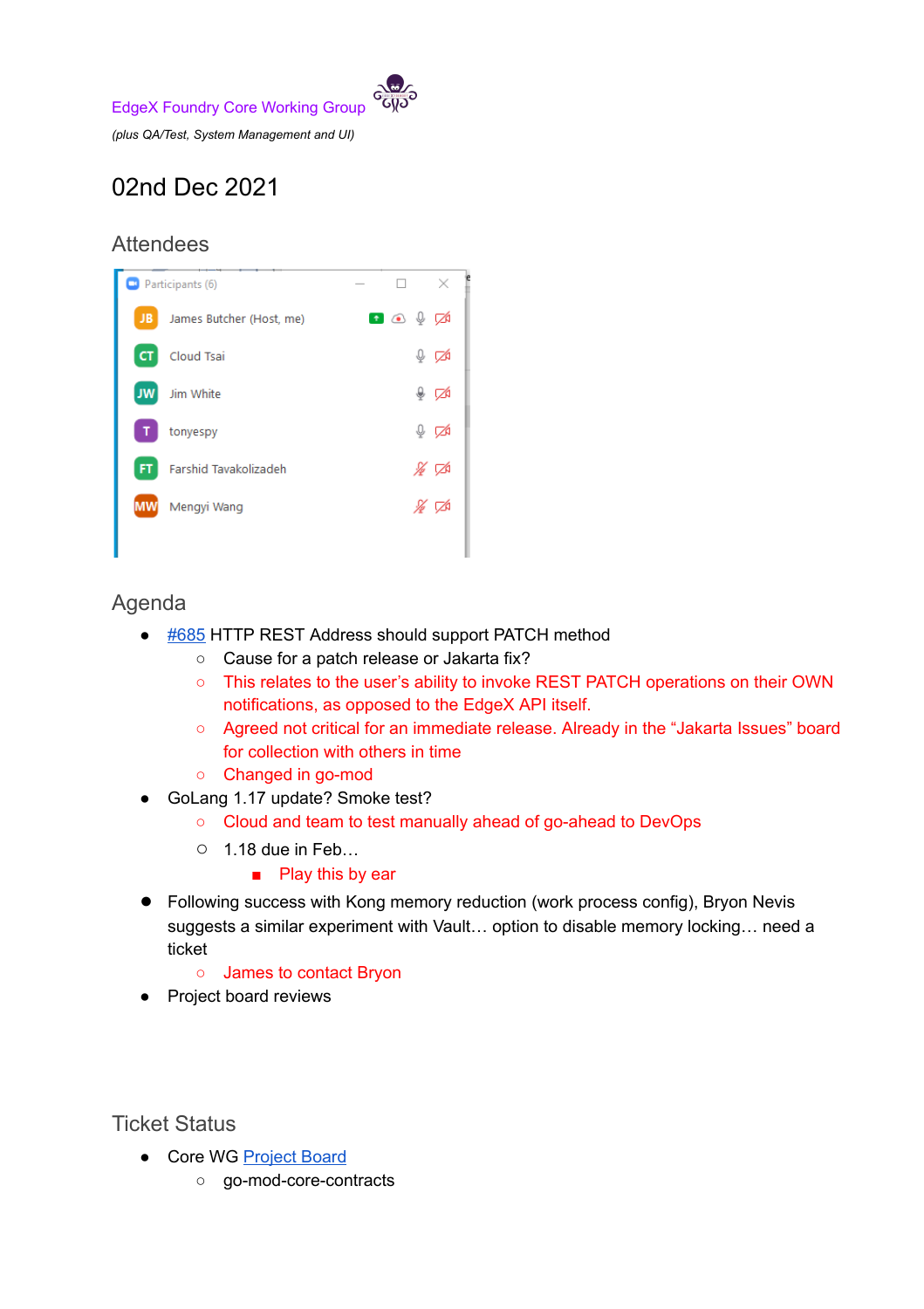

## 02nd Dec 2021

## **Attendees**



## Agenda

- [#685](https://github.com/edgexfoundry/go-mod-core-contracts/issues/685) HTTP REST Address should support PATCH method
	- Cause for a patch release or Jakarta fix?
	- This relates to the user's ability to invoke REST PATCH operations on their OWN notifications, as opposed to the EdgeX API itself.
	- Agreed not critical for an immediate release. Already in the "Jakarta Issues" board for collection with others in time
	- Changed in go-mod
- GoLang 1.17 update? Smoke test?
	- Cloud and team to test manually ahead of go-ahead to DevOps
	- $\circ$  1.18 due in Feb...
		- Play this by ear
- Following success with Kong memory reduction (work process config), Bryon Nevis suggests a similar experiment with Vault… option to disable memory locking… need a ticket
	- James to contact Bryon
- Project board reviews

Ticket Status

- Core WG [Project](https://github.com/orgs/edgexfoundry/projects/25) Board
	- go-mod-core-contracts